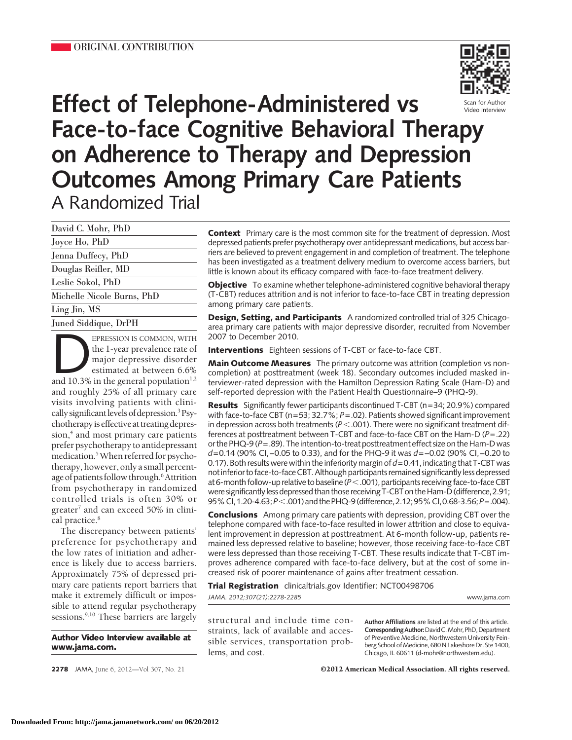

# Effect of Telephone-Administered vs **Face-to-face Cognitive Behavioral Therapy on Adherence to Therapy and Depression Outcomes Among Primary Care Patients** A Randomized Trial

|  |  | David C. Mohr, PhD |  |
|--|--|--------------------|--|
|--|--|--------------------|--|

Joyce Ho, PhD Jenna Duffecy, PhD Douglas Reifler, MD Leslie Sokol, PhD Michelle Nicole Burns, PhD Ling Jin, MS Juned Siddique, DrPH

EPRESSION IS COMMON, WITH<br>
the 1-year prevalence rate of<br>
major depressive disorder<br>
estimated at between 6.6%<br>
and 10.3% in the general population<sup>1,2</sup> the 1-year prevalence rate of major depressive disorder estimated at between 6.6% and roughly 25% of all primary care visits involving patients with clinically significant levels of depression.<sup>3</sup> Psychotherapy is effective at treating depression,<sup>4</sup> and most primary care patients prefer psychotherapy to antidepressant medication.5When referred for psychotherapy, however, only a small percentage of patients follow through.<sup>6</sup> Attrition from psychotherapy in randomized controlled trials is often 30% or  $greater<sup>7</sup>$  and can exceed 50% in clinical practice.<sup>8</sup>

The discrepancy between patients' preference for psychotherapy and the low rates of initiation and adherence is likely due to access barriers. Approximately 75% of depressed primary care patients report barriers that make it extremely difficult or impossible to attend regular psychotherapy sessions.<sup>9,10</sup> These barriers are largely structural and include time con-

#### **Author Video Interview available at www.jama.com.**

**Context** Primary care is the most common site for the treatment of depression. Most depressed patients prefer psychotherapy over antidepressant medications, but access barriers are believed to prevent engagement in and completion of treatment. The telephone has been investigated as a treatment delivery medium to overcome access barriers, but little is known about its efficacy compared with face-to-face treatment delivery.

**Objective** To examine whether telephone-administered cognitive behavioral therapy (T-CBT) reduces attrition and is not inferior to face-to-face CBT in treating depression among primary care patients.

**Design, Setting, and Participants** A randomized controlled trial of 325 Chicagoarea primary care patients with major depressive disorder, recruited from November 2007 to December 2010.

**Interventions** Eighteen sessions of T-CBT or face-to-face CBT.

**Main Outcome Measures** The primary outcome was attrition (completion vs noncompletion) at posttreatment (week 18). Secondary outcomes included masked interviewer-rated depression with the Hamilton Depression Rating Scale (Ham-D) and self-reported depression with the Patient Health Questionnaire–9 (PHQ-9).

**Results** Significantly fewer participants discontinued T-CBT (n=34; 20.9%) compared with face-to-face CBT (n=53; 32.7%; *P*=.02). Patients showed significant improvement in depression across both treatments (P<.001). There were no significant treatment differences at posttreatment between T-CBT and face-to-face CBT on the Ham-D (*P*=.22) or the PHQ-9 ( $P = .89$ ). The intention-to-treat posttreatment effect size on the Ham-D was *d*=0.14 (90% CI,−0.05 to 0.33), and for the PHQ-9 it was *d*=−0.02 (90% CI,−0.20 to 0.17). Both results were within the inferiority margin of  $d = 0.41$ , indicating that T-CBT was not inferior to face-to-face CBT. Although participants remained significantly less depressed at 6-month follow-up relative to baseline (P < .001), participants receiving face-to-face CBT were significantly less depressed than those receiving T-CBT on the Ham-D (difference, 2.91; 95%CI,1.20-4.63;*P*-.001)andthePHQ-9(difference,2.12;95%CI,0.68-3.56;*P*=.004).

**Conclusions** Among primary care patients with depression, providing CBT over the telephone compared with face-to-face resulted in lower attrition and close to equivalent improvement in depression at posttreatment. At 6-month follow-up, patients remained less depressed relative to baseline; however, those receiving face-to-face CBT were less depressed than those receiving T-CBT. These results indicate that T-CBT improves adherence compared with face-to-face delivery, but at the cost of some increased risk of poorer maintenance of gains after treatment cessation.

**Trial Registration** clinicaltrials.gov Identifier: NCT00498706

*JAMA. 2012;307(21):2278-2285* www.jama.com

straints, lack of available and accessible services, transportation problems, and cost.

**Author Affiliations** are listed at the end of this article. Corresponding Author: David C. Mohr, PhD, Department of Preventive Medicine, Northwestern University Feinberg School of Medicine, 680 N Lakeshore Dr, Ste 1400, Chicago, IL 60611 (d-mohr@northwestern.edu).

**2278** JAMA, June 6, 2012—Vol 307, No. 21 **Case 12 Constant Medical Association. All rights reserved.**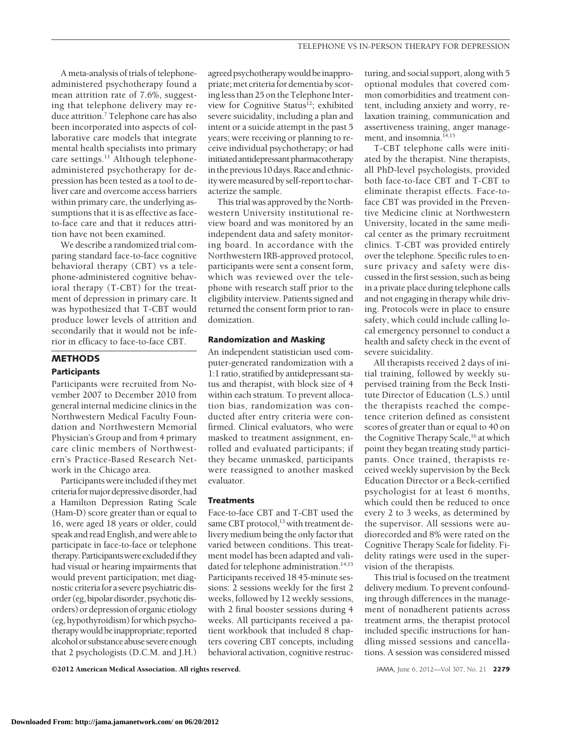A meta-analysis of trials of telephoneadministered psychotherapy found a mean attrition rate of 7.6%, suggesting that telephone delivery may reduce attrition.7 Telephone care has also been incorporated into aspects of collaborative care models that integrate mental health specialists into primary care settings.<sup>11</sup> Although telephoneadministered psychotherapy for depression has been tested as a tool to deliver care and overcome access barriers within primary care, the underlying assumptions that it is as effective as faceto-face care and that it reduces attrition have not been examined.

We describe a randomized trial comparing standard face-to-face cognitive behavioral therapy (CBT) vs a telephone-administered cognitive behavioral therapy (T-CBT) for the treatment of depression in primary care. It was hypothesized that T-CBT would produce lower levels of attrition and secondarily that it would not be inferior in efficacy to face-to-face CBT.

## **METHODS**

#### **Participants**

Participants were recruited from November 2007 to December 2010 from general internal medicine clinics in the Northwestern Medical Faculty Foundation and Northwestern Memorial Physician's Group and from 4 primary care clinic members of Northwestern's Practice-Based Research Network in the Chicago area.

Participants were included if they met criteriaformajordepressivedisorder,had a Hamilton Depression Rating Scale (Ham-D) score greater than or equal to 16, were aged 18 years or older, could speak and read English, and were able to participate in face-to-face or telephone therapy. Participants were excluded if they had visual or hearing impairments that would prevent participation; met diagnosticcriteriaforaseverepsychiatricdisorder (eg, bipolar disorder, psychotic disorders) or depression of organic etiology (eg, hypothyroidism) for which psychotherapy would be inappropriate; reported alcohol or substance abuse severe enough that 2 psychologists (D.C.M. and J.H.)

agreed psychotherapy would be inappropriate; met criteria for dementia by scoring less than 25 on the Telephone Interview for Cognitive Status<sup>12</sup>; exhibited severe suicidality, including a plan and intent or a suicide attempt in the past 5 years; were receiving or planning to receive individual psychotherapy; or had initiatedantidepressantpharmacotherapy in the previous 10 days. Race and ethnicity were measured by self-report to characterize the sample.

This trial was approved by the Northwestern University institutional review board and was monitored by an independent data and safety monitoring board. In accordance with the Northwestern IRB-approved protocol, participants were sent a consent form, which was reviewed over the telephone with research staff prior to the eligibility interview. Patients signed and returned the consent form prior to randomization.

#### **Randomization and Masking**

An independent statistician used computer-generated randomization with a 1:1 ratio, stratified by antidepressant status and therapist, with block size of 4 within each stratum. To prevent allocation bias, randomization was conducted after entry criteria were confirmed. Clinical evaluators, who were masked to treatment assignment, enrolled and evaluated participants; if they became unmasked, participants were reassigned to another masked evaluator.

#### **Treatments**

Face-to-face CBT and T-CBT used the same CBT protocol,<sup>13</sup> with treatment delivery medium being the only factor that varied between conditions. This treatment model has been adapted and validated for telephone administration.<sup>14,15</sup> Participants received 18 45-minute sessions: 2 sessions weekly for the first 2 weeks, followed by 12 weekly sessions, with 2 final booster sessions during 4 weeks. All participants received a patient workbook that included 8 chapters covering CBT concepts, including behavioral activation, cognitive restruc-

turing, and social support, along with 5 optional modules that covered common comorbidities and treatment content, including anxiety and worry, relaxation training, communication and assertiveness training, anger management, and insomnia.<sup>14,15</sup>

T-CBT telephone calls were initiated by the therapist. Nine therapists, all PhD-level psychologists, provided both face-to-face CBT and T-CBT to eliminate therapist effects. Face-toface CBT was provided in the Preventive Medicine clinic at Northwestern University, located in the same medical center as the primary recruitment clinics. T-CBT was provided entirely over the telephone. Specific rules to ensure privacy and safety were discussed in the first session, such as being in a private place during telephone calls and not engaging in therapy while driving. Protocols were in place to ensure safety, which could include calling local emergency personnel to conduct a health and safety check in the event of severe suicidality.

All therapists received 2 days of initial training, followed by weekly supervised training from the Beck Institute Director of Education (L.S.) until the therapists reached the competence criterion defined as consistent scores of greater than or equal to 40 on the Cognitive Therapy Scale,<sup>16</sup> at which point they began treating study participants. Once trained, therapists received weekly supervision by the Beck Education Director or a Beck-certified psychologist for at least 6 months, which could then be reduced to once every 2 to 3 weeks, as determined by the supervisor. All sessions were audiorecorded and 8% were rated on the Cognitive Therapy Scale for fidelity. Fidelity ratings were used in the supervision of the therapists.

This trial is focused on the treatment delivery medium. To prevent confounding through differences in the management of nonadherent patients across treatment arms, the therapist protocol included specific instructions for handling missed sessions and cancellations. A session was considered missed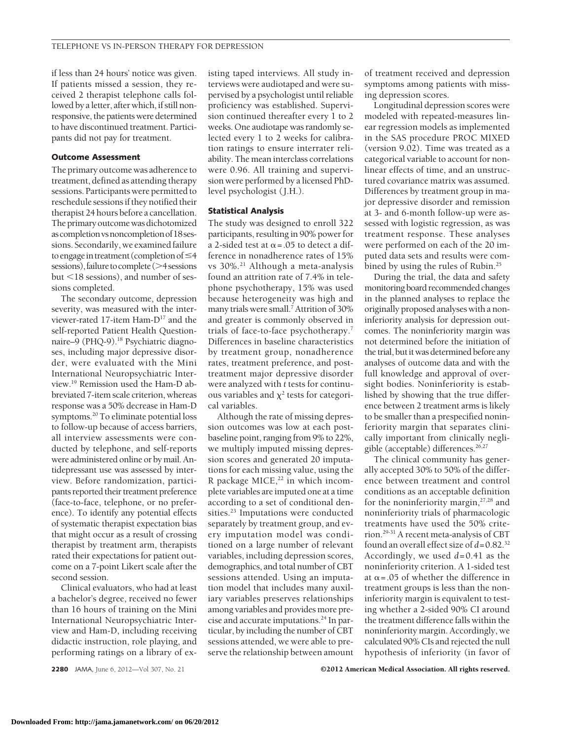if less than 24 hours' notice was given. If patients missed a session, they received 2 therapist telephone calls followed by a letter, after which, if still nonresponsive, the patients were determined to have discontinued treatment. Participants did not pay for treatment.

#### **Outcome Assessment**

The primary outcome was adherence to treatment, defined as attending therapy sessions. Participants were permitted to reschedule sessions if they notified their therapist 24 hours before a cancellation. The primary outcome was dichotomized ascompletionvsnoncompletionof18sessions. Secondarily, we examined failure to engage in treatment (completion of  $\leq 4$ sessions), failure to complete (>4 sessions but <18 sessions), and number of sessions completed.

The secondary outcome, depression severity, was measured with the interviewer-rated 17-item Ham-D<sup>17</sup> and the self-reported Patient Health Questionnaire–9 (PHQ-9).<sup>18</sup> Psychiatric diagnoses, including major depressive disorder, were evaluated with the Mini International Neuropsychiatric Interview.19 Remission used the Ham-D abbreviated 7-item scale criterion, whereas response was a 50% decrease in Ham-D symptoms.20 To eliminate potential loss to follow-up because of access barriers, all interview assessments were conducted by telephone, and self-reports were administered online or by mail. Antidepressant use was assessed by interview. Before randomization, participants reported their treatment preference (face-to-face, telephone, or no preference). To identify any potential effects of systematic therapist expectation bias that might occur as a result of crossing therapist by treatment arm, therapists rated their expectations for patient outcome on a 7-point Likert scale after the second session.

Clinical evaluators, who had at least a bachelor's degree, received no fewer than 16 hours of training on the Mini International Neuropsychiatric Interview and Ham-D, including receiving didactic instruction, role playing, and performing ratings on a library of existing taped interviews. All study interviews were audiotaped and were supervised by a psychologist until reliable proficiency was established. Supervision continued thereafter every 1 to 2 weeks. One audiotape was randomly selected every 1 to 2 weeks for calibration ratings to ensure interrater reliability. The mean interclass correlations were 0.96. All training and supervision were performed by a licensed PhDlevel psychologist (J.H.).

## **Statistical Analysis**

The study was designed to enroll 322 participants, resulting in 90% power for a 2-sided test at  $\alpha$  = .05 to detect a difference in nonadherence rates of 15% vs 30%.<sup>21</sup> Although a meta-analysis found an attrition rate of 7.4% in telephone psychotherapy, 15% was used because heterogeneity was high and many trials were small.<sup>7</sup> Attrition of 30% and greater is commonly observed in trials of face-to-face psychotherapy.7 Differences in baseline characteristics by treatment group, nonadherence rates, treatment preference, and posttreatment major depressive disorder were analyzed with *t* tests for continuous variables and  $\chi^2$  tests for categorical variables.

Although the rate of missing depression outcomes was low at each postbaseline point, ranging from 9% to 22%, we multiply imputed missing depression scores and generated 20 imputations for each missing value, using the R package MICE, $^{22}$  in which incomplete variables are imputed one at a time according to a set of conditional densities.<sup>23</sup> Imputations were conducted separately by treatment group, and every imputation model was conditioned on a large number of relevant variables, including depression scores, demographics, and total number of CBT sessions attended. Using an imputation model that includes many auxiliary variables preserves relationships among variables and provides more precise and accurate imputations.24 In particular, by including the number of CBT sessions attended, we were able to preserve the relationship between amount

of treatment received and depression symptoms among patients with missing depression scores.

Longitudinal depression scores were modeled with repeated-measures linear regression models as implemented in the SAS procedure PROC MIXED (version 9.02). Time was treated as a categorical variable to account for nonlinear effects of time, and an unstructured covariance matrix was assumed. Differences by treatment group in major depressive disorder and remission at 3- and 6-month follow-up were assessed with logistic regression, as was treatment response. These analyses were performed on each of the 20 imputed data sets and results were combined by using the rules of Rubin.<sup>25</sup>

During the trial, the data and safety monitoring board recommended changes in the planned analyses to replace the originally proposed analyses with a noninferiority analysis for depression outcomes. The noninferiority margin was not determined before the initiation of the trial, but it was determined before any analyses of outcome data and with the full knowledge and approval of oversight bodies. Noninferiority is established by showing that the true difference between 2 treatment arms is likely to be smaller than a prespecified noninferiority margin that separates clinically important from clinically negligible (acceptable) differences.<sup>26,27</sup>

The clinical community has generally accepted 30% to 50% of the difference between treatment and control conditions as an acceptable definition for the noninferiority margin,<sup>27,28</sup> and noninferiority trials of pharmacologic treatments have used the 50% criterion.29-31 A recent meta-analysis of CBT found an overall effect size of *d*=0.82.32 Accordingly, we used *d*=0.41 as the noninferiority criterion. A 1-sided test at  $\alpha$  = .05 of whether the difference in treatment groups is less than the noninferiority margin is equivalent to testing whether a 2-sided 90% CI around the treatment difference falls within the noninferiority margin. Accordingly, we calculated 90% CIs and rejected the null hypothesis of inferiority (in favor of

**2280** JAMA, June 6, 2012—Vol 307, No. 21 **Case 12012 American Medical Association. All rights reserved.**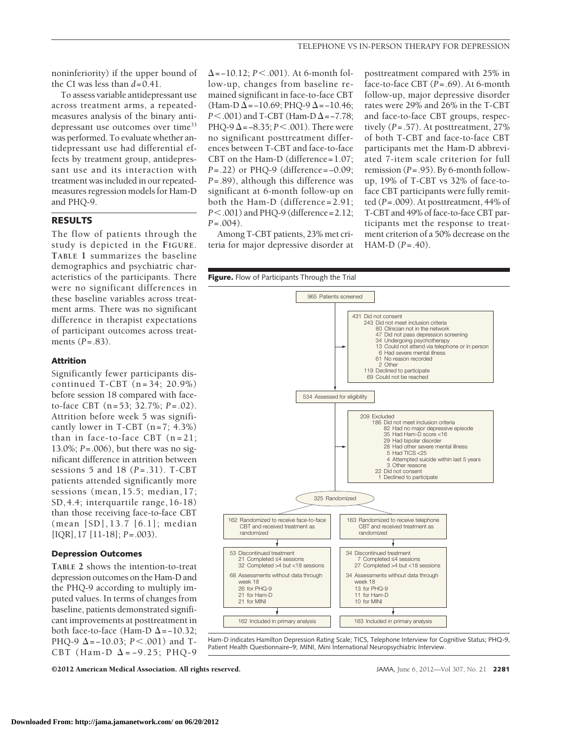noninferiority) if the upper bound of the CI was less than *d*=0.41.

To assess variable antidepressant use across treatment arms, a repeatedmeasures analysis of the binary antidepressant use outcomes over time<sup>33</sup> was performed. To evaluate whether antidepressant use had differential effects by treatment group, antidepressant use and its interaction with treatment was included in our repeatedmeasures regression models for Ham-D and PHQ-9.

## **RESULTS**

The flow of patients through the study is depicted in the **FIGURE**. **TABLE 1** summarizes the baseline demographics and psychiatric characteristics of the participants. There were no significant differences in these baseline variables across treatment arms. There was no significant difference in therapist expectations of participant outcomes across treatments (*P*=.83).

## **Attrition**

Significantly fewer participants discontinued T-CBT (n=34; 20.9%) before session 18 compared with faceto-face CBT (n=53; 32.7%; *P*=.02). Attrition before week 5 was significantly lower in T-CBT (n=7; 4.3%) than in face-to-face CBT  $(n=21)$ ; 13.0%; *P*=.006), but there was no significant difference in attrition between sessions 5 and 18 (*P* =.31). T-CBT patients attended significantly more sessions (mean,15.5; median,17; SD,4.4; interquartile range,16-18) than those receiving face-to-face CBT (mean [SD],13.7 [6.1]; median [IQR],17 [11-18]; *P*=.003).

#### **Depression Outcomes**

**TABLE 2** shows the intention-to-treat depression outcomes on the Ham-D and the PHQ-9 according to multiply imputed values. In terms of changes from baseline, patients demonstrated significant improvements at posttreatment in both face-to-face (Ham-D  $\Delta$ =−10.32; PHQ-9  $\Delta$ = -10.03; *P* < .001) and T-CBT (Ham-D  $\Delta$ =-9.25; PHQ-9

=−10.12; *P*-.001). At 6-month follow-up, changes from baseline remained significant in face-to-face CBT  $(Ham-D \Delta=-10.69; PHQ-9 \Delta=-10.46;$ *P* < .001) and T-CBT (Ham-D ∆=−7.78; PHQ-9  $\Delta$  = –8.35; *P* < .001). There were no significant posttreatment differences between T-CBT and face-to-face CBT on the Ham-D (difference=1.07; *P*=.22) or PHQ-9 (difference=−0.09; *P*=.89), although this difference was significant at 6-month follow-up on both the Ham-D (difference=2.91; *P*-.001) and PHQ-9 (difference=2.12; *P*=.004).

Among T-CBT patients, 23% met criteria for major depressive disorder at

posttreatment compared with 25% in face-to-face CBT (*P*=.69). At 6-month follow-up, major depressive disorder rates were 29% and 26% in the T-CBT and face-to-face CBT groups, respectively (*P*=.57). At posttreatment, 27% of both T-CBT and face-to-face CBT participants met the Ham-D abbreviated 7-item scale criterion for full remission (*P*=.95). By 6-month followup, 19% of T-CBT vs 32% of face-toface CBT participants were fully remitted (*P*=.009). At posttreatment, 44% of T-CBT and 49% of face-to-face CBT participants met the response to treatment criterion of a 50% decrease on the HAM-D (*P*=.40).





Ham-D indicates Hamilton Depression Rating Scale; TICS, Telephone Interview for Cognitive Status; PHQ-9, Patient Health Questionnaire–9; MINI, Mini International Neuropsychiatric Interview.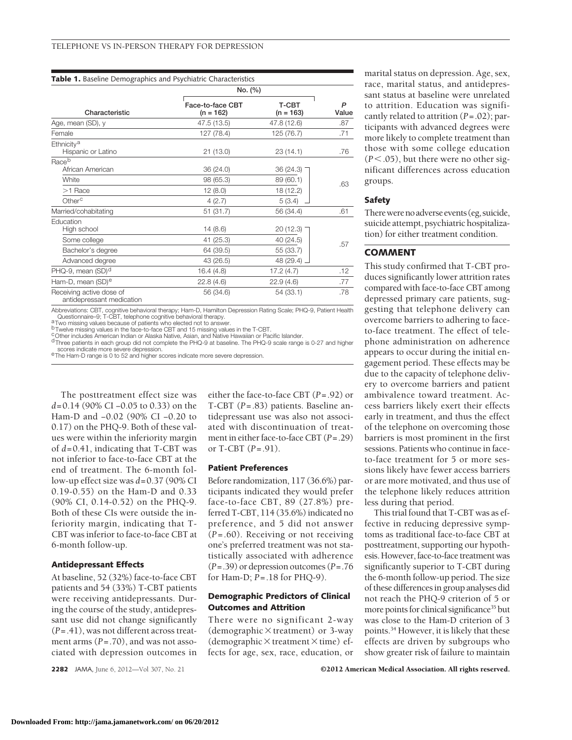| <b>Table 1.</b> Baseline Demographics and Psychiatric Characteristics |                                 |                      |                          |  |  |  |
|-----------------------------------------------------------------------|---------------------------------|----------------------|--------------------------|--|--|--|
|                                                                       | No. (%)                         |                      |                          |  |  |  |
| Characteristic                                                        | Face-to-face CBT<br>$(n = 162)$ | T-CBT<br>$(n = 163)$ | P<br>Value<br>.87<br>.71 |  |  |  |
| Age, mean (SD), y                                                     | 47.5 (13.5)                     | 47.8 (12.6)          |                          |  |  |  |
| Female                                                                | 127 (78.4)                      | 125 (76.7)           |                          |  |  |  |
| Ethnicity <sup>a</sup><br>Hispanic or Latino                          | 21(13.0)                        | 23(14.1)             | .76                      |  |  |  |
| Raceb<br>African American                                             | 36 (24.0)                       | 36(24.3)             | .63                      |  |  |  |
| White                                                                 | 98 (65.3)                       | 89 (60.1)            |                          |  |  |  |
| $>1$ Race                                                             | 12(8.0)                         | 18 (12.2)            |                          |  |  |  |
| Other <sup>c</sup>                                                    | 4(2.7)                          | 5(3.4)               |                          |  |  |  |
| Married/cohabitating                                                  | 51(31.7)                        | 56 (34.4)            | .61                      |  |  |  |
| Education<br>High school                                              | 14 (8.6)                        | 20(12.3)             |                          |  |  |  |
| Some college                                                          | 41 (25.3)                       | 40 (24.5)            | .57                      |  |  |  |
| Bachelor's degree                                                     | 64 (39.5)                       | 55 (33.7)            |                          |  |  |  |
| Advanced degree                                                       | 43 (26.5)                       | $48(29.4)$ $-$       |                          |  |  |  |
| PHQ-9, mean (SD) <sup>d</sup>                                         | 16.4(4.8)                       | 17.2(4.7)            | .12                      |  |  |  |
| Ham-D, mean (SD) <sup>e</sup>                                         | 22.8(4.6)                       | 22.9(4.6)            | .77                      |  |  |  |
| Receiving active dose of<br>antidepressant medication                 | 56 (34.6)                       | 54 (33.1)            | .78                      |  |  |  |

Abbreviations: CBT, cognitive behavioral therapy; Ham-D, Hamilton Depression Rating Scale; PHQ-9, Patient Health<br>- Questionnaire-9; T-CBT, telephone cognitive behavioral therapy.<br><sup>a</sup> Two missing values because of patients

b Twelve missing values in the face-to-face CBT and 15 missing values in the T-CBT.<br><sup>C</sup>Other includes American Indian or Alaska Native, Asian, and Native Hawaiian or Pacific Islander.

dThree patients in each group did not complete the PHQ-9 at baseline. The PHQ-9 scale range is 0-27 and higher scores indicate more severe depression.<br>eThe Ham-D range is 0 to 52 and higher scores indicate more severe depression.

The posttreatment effect size was *d*=0.14 (90% CI −0.05 to 0.33) on the Ham-D and −0.02 (90% CI −0.20 to 0.17) on the PHQ-9. Both of these values were within the inferiority margin of *d*=0.41, indicating that T-CBT was not inferior to face-to-face CBT at the end of treatment. The 6-month follow-up effect size was *d*=0.37 (90% CI 0.19-0.55) on the Ham-D and 0.33 (90% CI, 0.14-0.52) on the PHQ-9. Both of these CIs were outside the inferiority margin, indicating that T-CBT was inferior to face-to-face CBT at 6-month follow-up.

#### **Antidepressant Effects**

At baseline, 52 (32%) face-to-face CBT patients and 54 (33%) T-CBT patients were receiving antidepressants. During the course of the study, antidepressant use did not change significantly (*P*=.41), was not different across treatment arms (*P*=.70), and was not associated with depression outcomes in

either the face-to-face CBT (*P*=.92) or T-CBT (*P*=.83) patients. Baseline antidepressant use was also not associated with discontinuation of treatment in either face-to-face CBT (*P*=.29) or T-CBT (*P*=.91).

## **Patient Preferences**

Before randomization, 117 (36.6%) participants indicated they would prefer face-to-face CBT, 89 (27.8%) preferred T-CBT, 114 (35.6%) indicated no preference, and 5 did not answer (*P*=.60). Receiving or not receiving one's preferred treatment was not statistically associated with adherence (*P*=.39) or depression outcomes (*P*=.76 for Ham-D; *P*=.18 for PHQ-9).

## **Demographic Predictors of Clinical Outcomes and Attrition**

There were no significant 2-way (demographic  $\times$  treatment) or 3-way (demographic  $\times$  treatment  $\times$  time) effects for age, sex, race, education, or

marital status on depression. Age, sex, race, marital status, and antidepressant status at baseline were unrelated to attrition. Education was significantly related to attrition (*P*=.02); participants with advanced degrees were more likely to complete treatment than those with some college education  $(P<.05)$ , but there were no other significant differences across education groups.

## **Safety**

There were no adverse events (eg, suicide, suicide attempt, psychiatric hospitalization) for either treatment condition.

# **COMMENT**

This study confirmed that T-CBT produces significantly lower attrition rates compared with face-to-face CBT among depressed primary care patients, suggesting that telephone delivery can overcome barriers to adhering to faceto-face treatment. The effect of telephone administration on adherence appears to occur during the initial engagement period. These effects may be due to the capacity of telephone delivery to overcome barriers and patient ambivalence toward treatment. Access barriers likely exert their effects early in treatment, and thus the effect of the telephone on overcoming those barriers is most prominent in the first sessions. Patients who continue in faceto-face treatment for 5 or more sessions likely have fewer access barriers or are more motivated, and thus use of the telephone likely reduces attrition less during that period.

This trial found that T-CBT was as effective in reducing depressive symptoms as traditional face-to-face CBT at posttreatment, supporting our hypothesis. However, face-to-face treatment was significantly superior to T-CBT during the 6-month follow-up period. The size of these differences in group analyses did not reach the PHQ-9 criterion of 5 or more points for clinical significance<sup>35</sup> but was close to the Ham-D criterion of 3 points.34 However, it is likely that these effects are driven by subgroups who show greater risk of failure to maintain

**2282** JAMA, June 6, 2012—Vol 307, No. 21 **COLL 308 COLL American Medical Association. All rights reserved.**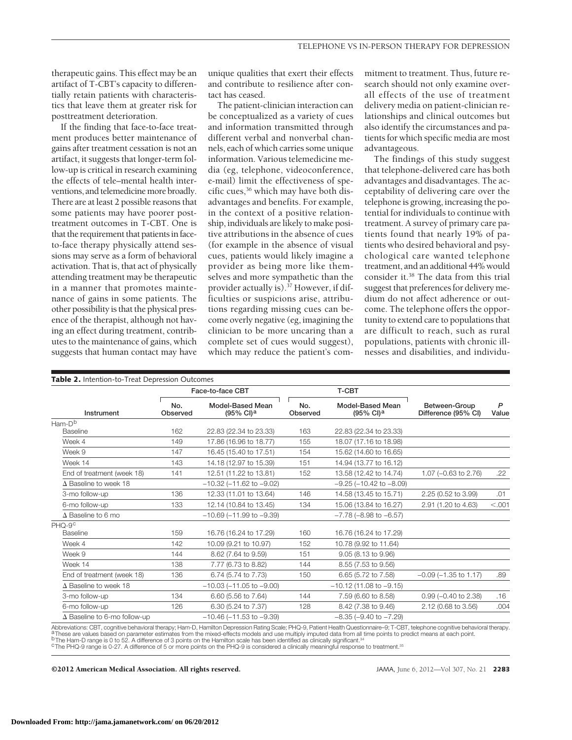therapeutic gains. This effect may be an artifact of T-CBT's capacity to differentially retain patients with characteristics that leave them at greater risk for posttreatment deterioration.

If the finding that face-to-face treatment produces better maintenance of gains after treatment cessation is not an artifact, it suggests that longer-term follow-up is critical in research examining the effects of tele–mental health interventions, and telemedicine more broadly. There are at least 2 possible reasons that some patients may have poorer posttreatment outcomes in T-CBT. One is that the requirement that patients in faceto-face therapy physically attend sessions may serve as a form of behavioral activation. That is, that act of physically attending treatment may be therapeutic in a manner that promotes maintenance of gains in some patients. The other possibility is that the physical presence of the therapist, although not having an effect during treatment, contributes to the maintenance of gains, which suggests that human contact may have

unique qualities that exert their effects and contribute to resilience after contact has ceased.

The patient-clinician interaction can be conceptualized as a variety of cues and information transmitted through different verbal and nonverbal channels, each of which carries some unique information. Various telemedicine media (eg, telephone, videoconference, e-mail) limit the effectiveness of specific cues,36 which may have both disadvantages and benefits. For example, in the context of a positive relationship, individuals are likely to make positive attributions in the absence of cues (for example in the absence of visual cues, patients would likely imagine a provider as being more like themselves and more sympathetic than the provider actually is).<sup>37</sup> However, if difficulties or suspicions arise, attributions regarding missing cues can become overly negative (eg, imagining the clinician to be more uncaring than a complete set of cues would suggest), which may reduce the patient's commitment to treatment. Thus, future research should not only examine overall effects of the use of treatment delivery media on patient-clinician relationships and clinical outcomes but also identify the circumstances and patients for which specific media are most advantageous.

The findings of this study suggest that telephone-delivered care has both advantages and disadvantages. The acceptability of delivering care over the telephone is growing, increasing the potential for individuals to continue with treatment. A survey of primary care patients found that nearly 19% of patients who desired behavioral and psychological care wanted telephone treatment, and an additional 44% would consider it.38 The data from this trial suggest that preferences for delivery medium do not affect adherence or outcome. The telephone offers the opportunity to extend care to populations that are difficult to reach, such as rural populations, patients with chronic illnesses and disabilities, and individu-

| Table 2. Intention-to-Treat Depression Outcomes |                  |                                                    |                 |                                           |                                      |            |  |  |  |
|-------------------------------------------------|------------------|----------------------------------------------------|-----------------|-------------------------------------------|--------------------------------------|------------|--|--|--|
|                                                 | Face-to-face CBT |                                                    | T-CBT           |                                           |                                      |            |  |  |  |
| Instrument                                      | No.<br>Observed  | Model-Based Mean<br>$(95\% \text{ Cl})^{\text{a}}$ | No.<br>Observed | Model-Based Mean<br>$(95\% \text{ Cl})^a$ | Between-Group<br>Difference (95% CI) | P<br>Value |  |  |  |
| Ham-D <sup>b</sup>                              |                  |                                                    |                 |                                           |                                      |            |  |  |  |
| Baseline                                        | 162              | 22.83 (22.34 to 23.33)                             | 163             | 22.83 (22.34 to 23.33)                    |                                      |            |  |  |  |
| Week 4                                          | 149              | 17.86 (16.96 to 18.77)                             | 155             | 18.07 (17.16 to 18.98)                    |                                      |            |  |  |  |
| Week 9                                          | 147              | 16.45 (15.40 to 17.51)                             | 154             | 15.62 (14.60 to 16.65)                    |                                      |            |  |  |  |
| Week 14                                         | 143              | 14.18 (12.97 to 15.39)                             | 151             | 14.94 (13.77 to 16.12)                    |                                      |            |  |  |  |
| End of treatment (week 18)                      | 141              | 12.51 (11.22 to 13.81)                             | 152             | 13.58 (12.42 to 14.74)                    | 1.07 (-0.63 to 2.76)                 | .22        |  |  |  |
| $\Delta$ Baseline to week 18                    |                  | $-10.32$ ( $-11.62$ to $-9.02$ )                   |                 | $-9.25$ ( $-10.42$ to $-8.09$ )           |                                      |            |  |  |  |
| 3-mo follow-up                                  | 136              | 12.33 (11.01 to 13.64)                             | 146             | 14.58 (13.45 to 15.71)                    | 2.25 (0.52 to 3.99)                  | .01        |  |  |  |
| 6-mo follow-up                                  | 133              | 12.14 (10.84 to 13.45)                             | 134             | 15.06 (13.84 to 16.27)                    | 2.91 (1.20 to 4.63)                  | < 0.001    |  |  |  |
| $\Delta$ Baseline to 6 mo                       |                  | $-10.69$ ( $-11.99$ to $-9.39$ )                   |                 | $-7.78$ ( $-8.98$ to $-6.57$ )            |                                      |            |  |  |  |
| $PHQ-9c$                                        |                  |                                                    |                 |                                           |                                      |            |  |  |  |
| Baseline                                        | 159              | 16.76 (16.24 to 17.29)                             | 160             | 16.76 (16.24 to 17.29)                    |                                      |            |  |  |  |
| Week 4                                          | 142              | 10.09 (9.21 to 10.97)                              | 152             | 10.78 (9.92 to 11.64)                     |                                      |            |  |  |  |
| Week 9                                          | 144              | 8.62 (7.64 to 9.59)                                | 151             | 9.05 (8.13 to 9.96)                       |                                      |            |  |  |  |
| Week 14                                         | 138              | 7.77 (6.73 to 8.82)                                | 144             | 8.55 (7.53 to 9.56)                       |                                      |            |  |  |  |
| End of treatment (week 18)                      | 136              | 6.74 (5.74 to 7.73)                                | 150             | 6.65 (5.72 to 7.58)                       | $-0.09$ ( $-1.35$ to 1.17)           | .89        |  |  |  |
| $\Delta$ Baseline to week 18                    |                  | $-10.03$ ( $-11.05$ to $-9.00$ )                   |                 | $-10.12$ (11.08 to $-9.15$ )              |                                      |            |  |  |  |
| 3-mo follow-up                                  | 134              | 6.60 (5.56 to 7.64)                                | 144             | 7.59 (6.60 to 8.58)                       | $0.99$ (-0.40 to 2.38)               | .16        |  |  |  |
| 6-mo follow-up                                  | 126              | 6.30 (5.24 to 7.37)                                | 128             | 8.42 (7.38 to 9.46)                       | 2.12 (0.68 to 3.56)                  | .004       |  |  |  |
| $\Delta$ Baseline to 6-mo follow-up             |                  | $-10.46$ ( $-11.53$ to $-9.39$ )                   |                 | $-8.35$ ( $-9.40$ to $-7.29$ )            |                                      |            |  |  |  |

Abbreviations: CBT, cognitive behavioral therapy; Ham-D, Hamilton Depression Rating Scale; PHQ-9, Patient Health Questionnaire–9; T-CBT, telephone cognitive behavioral therapy.<br><sup>a</sup> These are values based on parameter estim

CTHBSB are values based on parameter estimates nonmine masses environment and lose minimply imposed and the point of point of the PHQ-9 range is 0-27. A difference of 3 points on the Hamilton scale has been identified as c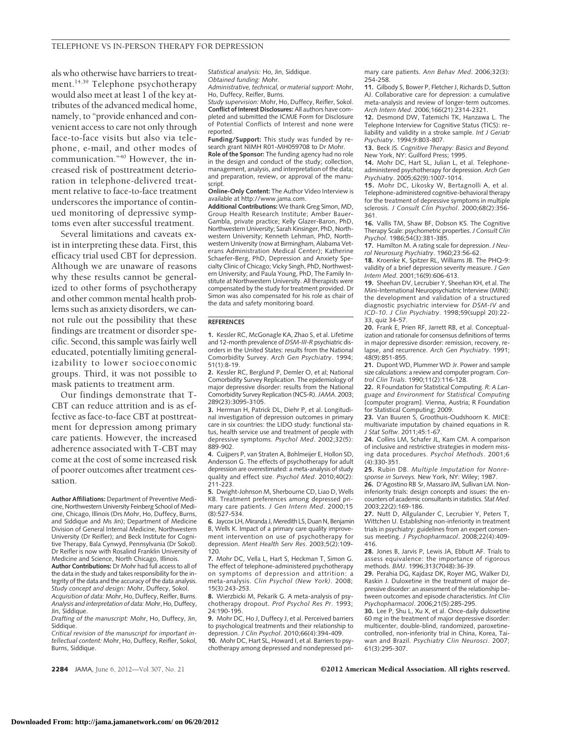als who otherwise have barriers to treatment.14,39 Telephone psychotherapy would also meet at least 1 of the key attributes of the advanced medical home, namely, to "provide enhanced and convenient access to care not only through face-to-face visits but also via telephone, e-mail, and other modes of communication."40 However, the increased risk of posttreatment deterioration in telephone-delivered treatment relative to face-to-face treatment underscores the importance of continued monitoring of depressive symptoms even after successful treatment.

Several limitations and caveats exist in interpreting these data. First, this efficacy trial used CBT for depression. Although we are unaware of reasons why these results cannot be generalized to other forms of psychotherapy and other common mental health problems such as anxiety disorders, we cannot rule out the possibility that these findings are treatment or disorder specific. Second, this sample was fairly well educated, potentially limiting generalizability to lower socioeconomic groups. Third, it was not possible to mask patients to treatment arm.

Our findings demonstrate that T-CBT can reduce attrition and is as effective as face-to-face CBT at posttreatment for depression among primary care patients. However, the increased adherence associated with T-CBT may come at the cost of some increased risk of poorer outcomes after treatment cessation.

**Author Affiliations:** Department of Preventive Medicine, Northwestern University Feinberg School of Medicine, Chicago, Illinois (Drs Mohr, Ho, Duffecy, Burns, and Siddique and Ms Jin); Department of Medicine Division of General Internal Medicine, Northwestern University (Dr Reifler); and Beck Institute for Cognitive Therapy, Bala Cynwyd, Pennsylvania (Dr Sokol). Dr Reifler is now with Rosalind Franklin University of Medicine and Science, North Chicago, Illinois.

**Author Contributions:** Dr Mohr had full access to all of the data in the study and takes responsibility for the integrity of the data and the accuracy of the data analysis. *Study concept and design:* Mohr, Duffecy, Sokol.

*Acquisition of data:* Mohr, Ho, Duffecy, Reifler, Burns. *Analysis and interpretation of data:* Mohr, Ho, Duffecy, Jin, Siddique.

*Drafting of the manuscript:* Mohr, Ho, Duffecy, Jin, Siddique.

*Critical revision of the manuscript for important intellectual content:* Mohr, Ho, Duffecy, Reifler, Sokol, Burns, Siddique.

*Statistical analysis:* Ho, Jin, Siddique. *Obtained funding:* Mohr.

*Administrative, technical, or material support:* Mohr, Ho, Duffecy, Reifler, Burns.

*Study supervision:* Mohr, Ho, Duffecy, Reifler, Sokol. **Conflict of Interest Disclosures:** All authors have completed and submitted the ICMJE Form for Disclosure of Potential Conflicts of Interest and none were reported.

**Funding/Support:** This study was funded by research grant NIMH R01-MH059708 to Dr Mohr.

**Role of the Sponsor:** The funding agency had no role in the design and conduct of the study; collection, management, analysis, and interpretation of the data; and preparation, review, or approval of the manuscript.

**Online-Only Content:** The Author Video Interview is available at http://www.jama.com.

**Additional Contributions:** We thank Greg Simon, MD, Group Health Research Institute; Amber Bauer-Gambla, private practice; Kelly Glazer-Baron, PhD, Northwestern University; Sarah Kinsinger, PhD, Northwestern University; Kenneth Lehman, PhD, Northwestern University (now at Birmingham, Alabama Veterans Administration Medical Center); Katherine Schaefer-Berg, PhD, Depression and Anxiety Specialty Clinic of Chicago; Vicky Singh, PhD, Northwestern University; and Paula Young, PhD, The Family Institute at Northwestern University. All therapists were compensated by the study for treatment provided. Dr Simon was also compensated for his role as chair of the data and safety monitoring board.

#### **REFERENCES**

**1.** Kessler RC, McGonagle KA, Zhao S, et al. Lifetime and 12-month prevalence of *DSM-III-R* psychiatric disorders in the United States: results from the National Comorbidity Survey. *Arch Gen Psychiatry*. 1994; 51(1):8-19.

**2.** Kessler RC, Berglund P, Demler O, et al; National Comorbidity Survey Replication. The epidemiology of major depressive disorder: results from the National Comorbidity Survey Replication (NCS-R).*JAMA*. 2003; 289(23):3095-3105.

**3.** Herrman H, Patrick DL, Diehr P, et al. Longitudinal investigation of depression outcomes in primary care in six countries: the LIDO study: functional status, health service use and treatment of people with depressive symptoms. *Psychol Med*. 2002;32(5): 889-902.

**4.** Cuijpers P, van Straten A, Bohlmeijer E, Hollon SD, Andersson G. The effects of psychotherapy for adult depression are overestimated: a meta-analysis of study quality and effect size. *Psychol Med*. 2010;40(2): 211-223.

**5.** Dwight-Johnson M, Sherbourne CD, Liao D, Wells KB. Treatment preferences among depressed primary care patients. *J Gen Intern Med*. 2000;15 (8):527-534.

**6.** Jaycox LH, Miranda J, Meredith LS, Duan N, Benjamin B, Wells K. Impact of a primary care quality improvement intervention on use of psychotherapy for depression. *Ment Health Serv Res*. 2003;5(2):109- 120.

**7.** Mohr DC, Vella L, Hart S, Heckman T, Simon G. The effect of telephone-administered psychotherapy on symptoms of depression and attrition: a meta-analysis. *Clin Psychol (New York)*. 2008; 15(3):243-253.

**8.** Wierzbicki M, Pekarik G. A meta-analysis of psychotherapy dropout. *Prof Psychol Res Pr*. 1993; 24:190-195.

**9.** Mohr DC, Ho J, Duffecy J, et al. Perceived barriers to psychological treatments and their relationship to depression. *J Clin Psychol*. 2010;66(4):394-409.

**10.** Mohr DC, Hart SL, Howard I, et al. Barriers to psychotherapy among depressed and nondepressed primary care patients. *Ann Behav Med*. 2006;32(3): 254-258.

**11.** Gilbody S, Bower P, Fletcher J, Richards D, Sutton AJ. Collaborative care for depression: a cumulative meta-analysis and review of longer-term outcomes. *Arch Intern Med*. 2006;166(21):2314-2321.

**12.** Desmond DW, Tatemichi TK, Hanzawa L. The Telephone Interview for Cognitive Status (TICS): reliability and validity in a stroke sample. *Int J Geriatr Psychiatry*. 1994;9:803-807.

**13.** Beck JS. *Cognitive Therapy: Basics and Beyond.* New York, NY: Guilford Press; 1995.

**14.** Mohr DC, Hart SL, Julian L, et al. Telephoneadministered psychotherapy for depression. *Arch Gen Psychiatry*. 2005;62(9):1007-1014.

**15.** Mohr DC, Likosky W, Bertagnolli A, et al. Telephone-administered cognitive-behavioral therapy for the treatment of depressive symptoms in multiple sclerosis. *J Consult Clin Psychol*. 2000;68(2):356- 361.

**16.** Vallis TM, Shaw BF, Dobson KS. The Cognitive Therapy Scale: psychometric properties.*J Consult Clin Psychol*. 1986;54(3):381-385.

**17.** Hamilton M. A rating scale for depression. *J Neurol Neurosurg Psychiatry*. 1960;23:56-62.

**18.** Kroenke K, Spitzer RL, Williams JB. The PHQ-9: validity of a brief depression severity measure. *J Gen Intern Med*. 2001;16(9):606-613.

**19.** Sheehan DV, Lecrubier Y, Sheehan KH, et al. The Mini-International Neuropsychiatric Interview (MINI): the development and validation of a structured diagnostic psychiatric interview for *DSM-IV* and *ICD-10*. *J Clin Psychiatry*. 1998;59(suppl 20):22- 33, quiz 34-57.

**20.** Frank E, Prien RF, Jarrett RB, et al. Conceptualization and rationale for consensus definitions of terms in major depressive disorder: remission, recovery, relapse, and recurrence. *Arch Gen Psychiatry*. 1991; 48(9):851-855.

**21.** Dupont WD, Plummer WD Jr. Power and sample size calculations: a review and computer program.*Control Clin Trials*. 1990;11(2):116-128.

**22.** R Foundation for Statistical Computing. *R: A Language and Environment for Statistical Computing* [computer program]. Vienna, Austria; R Foundation for Statistical Computing; 2009.

**23.** Van Buuren S, Groothuis-Oudshoorn K. MICE: multivariate imputation by chained equations in R. *J Stat Softw*. 2011;45:1-67.

**24.** Collins LM, Schafer JL, Kam CM. A comparison of inclusive and restrictive strategies in modern missing data procedures. *Psychol Methods*. 2001;6  $(4)$ :330-351

**25.** Rubin DB. *Multiple Imputation for Nonresponse in Surveys.* New York, NY: Wiley; 1987.

**26.** D'Agostino RB Sr, Massaro JM, Sullivan LM. Noninferiority trials: design concepts and issues: the encounters of academic consultants in statistics. *Stat Med*. 2003;22(2):169-186.

**27.** Nutt D, Allgulander C, Lecrubier Y, Peters T, Wittchen U. Establishing non-inferiority in treatment trials in psychiatry: guidelines from an expert consensus meeting. *J Psychopharmacol*. 2008;22(4):409- 416.

**28.** Jones B, Jarvis P, Lewis JA, Ebbutt AF. Trials to assess equivalence: the importance of rigorous methods. *BMJ*. 1996;313(7048):36-39.

**29.** Perahia DG, Kajdasz DK, Royer MG, Walker DJ, Raskin J. Duloxetine in the treatment of major depressive disorder: an assessment of the relationship between outcomes and episode characteristics. *Int Clin Psychopharmacol*. 2006;21(5):285-295.

**30.** Lee P, Shu L, Xu X, et al. Once-daily duloxetine 60 mg in the treatment of major depressive disorder: multicenter, double-blind, randomized, paroxetinecontrolled, non-inferiority trial in China, Korea, Taiwan and Brazil. *Psychiatry Clin Neurosci*. 2007; 61(3):295-307.

#### **2284** JAMA, June 6, 2012—Vol 307, No. 21 **Case 12012 American Medical Association. All rights reserved.**